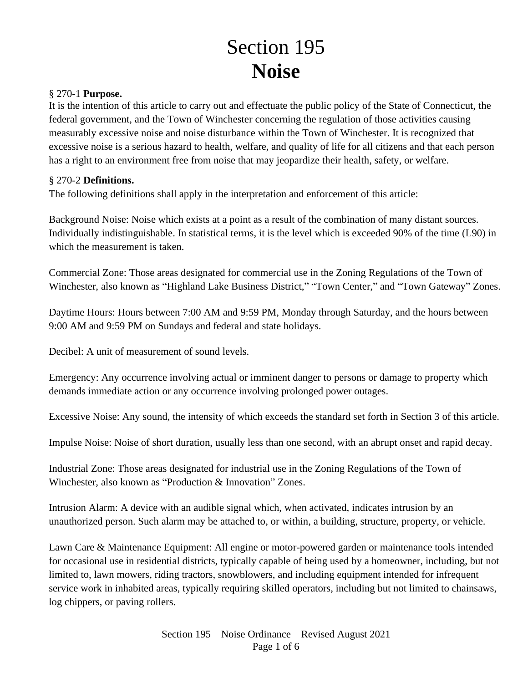# Section 195 **Noise**

#### § 270-1 **Purpose.**

It is the intention of this article to carry out and effectuate the public policy of the State of Connecticut, the federal government, and the Town of Winchester concerning the regulation of those activities causing measurably excessive noise and noise disturbance within the Town of Winchester. It is recognized that excessive noise is a serious hazard to health, welfare, and quality of life for all citizens and that each person has a right to an environment free from noise that may jeopardize their health, safety, or welfare.

#### § 270-2 **Definitions.**

The following definitions shall apply in the interpretation and enforcement of this article:

Background Noise: Noise which exists at a point as a result of the combination of many distant sources. Individually indistinguishable. In statistical terms, it is the level which is exceeded 90% of the time (L90) in which the measurement is taken.

Commercial Zone: Those areas designated for commercial use in the Zoning Regulations of the Town of Winchester, also known as "Highland Lake Business District," "Town Center," and "Town Gateway" Zones.

Daytime Hours: Hours between 7:00 AM and 9:59 PM, Monday through Saturday, and the hours between 9:00 AM and 9:59 PM on Sundays and federal and state holidays.

Decibel: A unit of measurement of sound levels.

Emergency: Any occurrence involving actual or imminent danger to persons or damage to property which demands immediate action or any occurrence involving prolonged power outages.

Excessive Noise: Any sound, the intensity of which exceeds the standard set forth in Section 3 of this article.

Impulse Noise: Noise of short duration, usually less than one second, with an abrupt onset and rapid decay.

Industrial Zone: Those areas designated for industrial use in the Zoning Regulations of the Town of Winchester, also known as "Production & Innovation" Zones.

Intrusion Alarm: A device with an audible signal which, when activated, indicates intrusion by an unauthorized person. Such alarm may be attached to, or within, a building, structure, property, or vehicle.

Lawn Care & Maintenance Equipment: All engine or motor-powered garden or maintenance tools intended for occasional use in residential districts, typically capable of being used by a homeowner, including, but not limited to, lawn mowers, riding tractors, snowblowers, and including equipment intended for infrequent service work in inhabited areas, typically requiring skilled operators, including but not limited to chainsaws, log chippers, or paving rollers.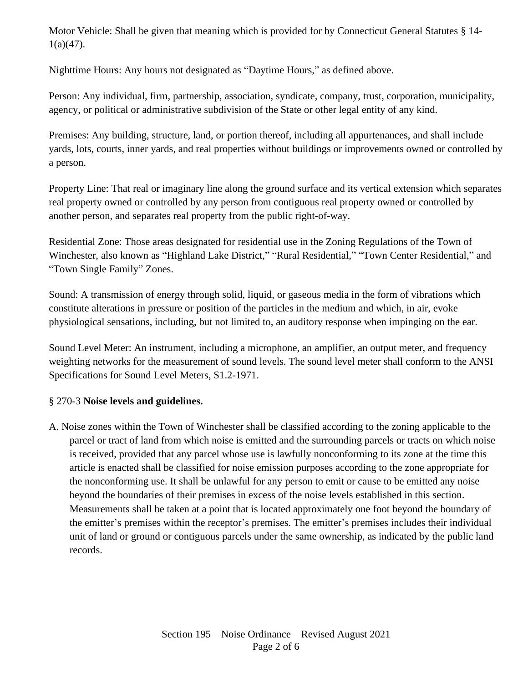Motor Vehicle: Shall be given that meaning which is provided for by Connecticut General Statutes § 14-  $1(a)(47)$ .

Nighttime Hours: Any hours not designated as "Daytime Hours," as defined above.

Person: Any individual, firm, partnership, association, syndicate, company, trust, corporation, municipality, agency, or political or administrative subdivision of the State or other legal entity of any kind.

Premises: Any building, structure, land, or portion thereof, including all appurtenances, and shall include yards, lots, courts, inner yards, and real properties without buildings or improvements owned or controlled by a person.

Property Line: That real or imaginary line along the ground surface and its vertical extension which separates real property owned or controlled by any person from contiguous real property owned or controlled by another person, and separates real property from the public right-of-way.

Residential Zone: Those areas designated for residential use in the Zoning Regulations of the Town of Winchester, also known as "Highland Lake District," "Rural Residential," "Town Center Residential," and "Town Single Family" Zones.

Sound: A transmission of energy through solid, liquid, or gaseous media in the form of vibrations which constitute alterations in pressure or position of the particles in the medium and which, in air, evoke physiological sensations, including, but not limited to, an auditory response when impinging on the ear.

Sound Level Meter: An instrument, including a microphone, an amplifier, an output meter, and frequency weighting networks for the measurement of sound levels. The sound level meter shall conform to the ANSI Specifications for Sound Level Meters, S1.2-1971.

# § 270-3 **Noise levels and guidelines.**

A. Noise zones within the Town of Winchester shall be classified according to the zoning applicable to the parcel or tract of land from which noise is emitted and the surrounding parcels or tracts on which noise is received, provided that any parcel whose use is lawfully nonconforming to its zone at the time this article is enacted shall be classified for noise emission purposes according to the zone appropriate for the nonconforming use. It shall be unlawful for any person to emit or cause to be emitted any noise beyond the boundaries of their premises in excess of the noise levels established in this section. Measurements shall be taken at a point that is located approximately one foot beyond the boundary of the emitter's premises within the receptor's premises. The emitter's premises includes their individual unit of land or ground or contiguous parcels under the same ownership, as indicated by the public land records.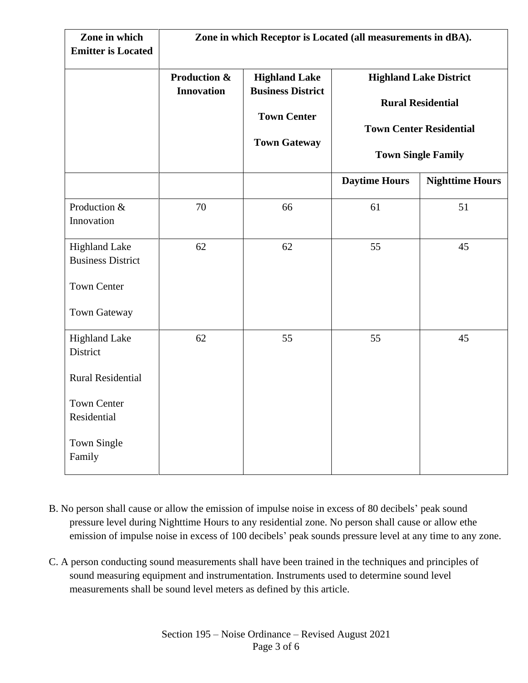| Zone in which<br><b>Emitter is Located</b>                                                                                 | Zone in which Receptor is Located (all measurements in dBA). |                                                                                               |                                                                                                                          |                        |
|----------------------------------------------------------------------------------------------------------------------------|--------------------------------------------------------------|-----------------------------------------------------------------------------------------------|--------------------------------------------------------------------------------------------------------------------------|------------------------|
|                                                                                                                            | <b>Production &amp;</b><br><b>Innovation</b>                 | <b>Highland Lake</b><br><b>Business District</b><br><b>Town Center</b><br><b>Town Gateway</b> | <b>Highland Lake District</b><br><b>Rural Residential</b><br><b>Town Center Residential</b><br><b>Town Single Family</b> |                        |
|                                                                                                                            |                                                              |                                                                                               | <b>Daytime Hours</b>                                                                                                     | <b>Nighttime Hours</b> |
| Production &<br>Innovation                                                                                                 | 70                                                           | 66                                                                                            | 61                                                                                                                       | 51                     |
| <b>Highland Lake</b><br><b>Business District</b><br><b>Town Center</b><br><b>Town Gateway</b>                              | 62                                                           | 62                                                                                            | 55                                                                                                                       | 45                     |
| <b>Highland Lake</b><br>District<br><b>Rural Residential</b><br><b>Town Center</b><br>Residential<br>Town Single<br>Family | 62                                                           | 55                                                                                            | 55                                                                                                                       | 45                     |

- B. No person shall cause or allow the emission of impulse noise in excess of 80 decibels' peak sound pressure level during Nighttime Hours to any residential zone. No person shall cause or allow ethe emission of impulse noise in excess of 100 decibels' peak sounds pressure level at any time to any zone.
- C. A person conducting sound measurements shall have been trained in the techniques and principles of sound measuring equipment and instrumentation. Instruments used to determine sound level measurements shall be sound level meters as defined by this article.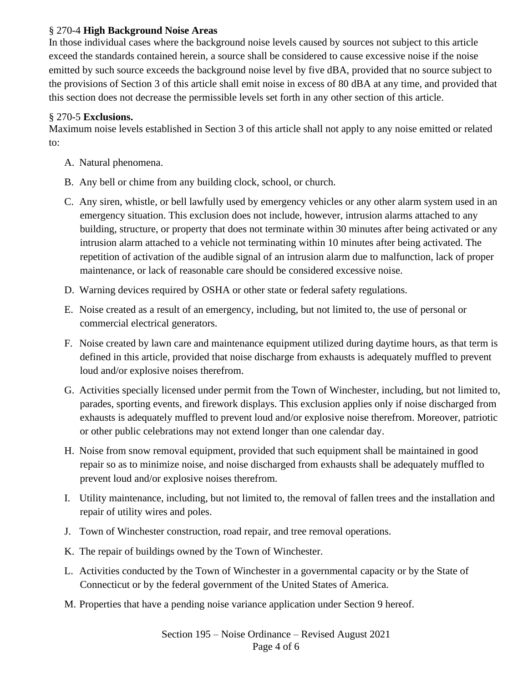## § 270-4 **High Background Noise Areas**

In those individual cases where the background noise levels caused by sources not subject to this article exceed the standards contained herein, a source shall be considered to cause excessive noise if the noise emitted by such source exceeds the background noise level by five dBA, provided that no source subject to the provisions of Section 3 of this article shall emit noise in excess of 80 dBA at any time, and provided that this section does not decrease the permissible levels set forth in any other section of this article.

# § 270-5 **Exclusions.**

Maximum noise levels established in Section 3 of this article shall not apply to any noise emitted or related to:

- A. Natural phenomena.
- B. Any bell or chime from any building clock, school, or church.
- C. Any siren, whistle, or bell lawfully used by emergency vehicles or any other alarm system used in an emergency situation. This exclusion does not include, however, intrusion alarms attached to any building, structure, or property that does not terminate within 30 minutes after being activated or any intrusion alarm attached to a vehicle not terminating within 10 minutes after being activated. The repetition of activation of the audible signal of an intrusion alarm due to malfunction, lack of proper maintenance, or lack of reasonable care should be considered excessive noise.
- D. Warning devices required by OSHA or other state or federal safety regulations.
- E. Noise created as a result of an emergency, including, but not limited to, the use of personal or commercial electrical generators.
- F. Noise created by lawn care and maintenance equipment utilized during daytime hours, as that term is defined in this article, provided that noise discharge from exhausts is adequately muffled to prevent loud and/or explosive noises therefrom.
- G. Activities specially licensed under permit from the Town of Winchester, including, but not limited to, parades, sporting events, and firework displays. This exclusion applies only if noise discharged from exhausts is adequately muffled to prevent loud and/or explosive noise therefrom. Moreover, patriotic or other public celebrations may not extend longer than one calendar day.
- H. Noise from snow removal equipment, provided that such equipment shall be maintained in good repair so as to minimize noise, and noise discharged from exhausts shall be adequately muffled to prevent loud and/or explosive noises therefrom.
- I. Utility maintenance, including, but not limited to, the removal of fallen trees and the installation and repair of utility wires and poles.
- J. Town of Winchester construction, road repair, and tree removal operations.
- K. The repair of buildings owned by the Town of Winchester.
- L. Activities conducted by the Town of Winchester in a governmental capacity or by the State of Connecticut or by the federal government of the United States of America.
- M. Properties that have a pending noise variance application under Section 9 hereof.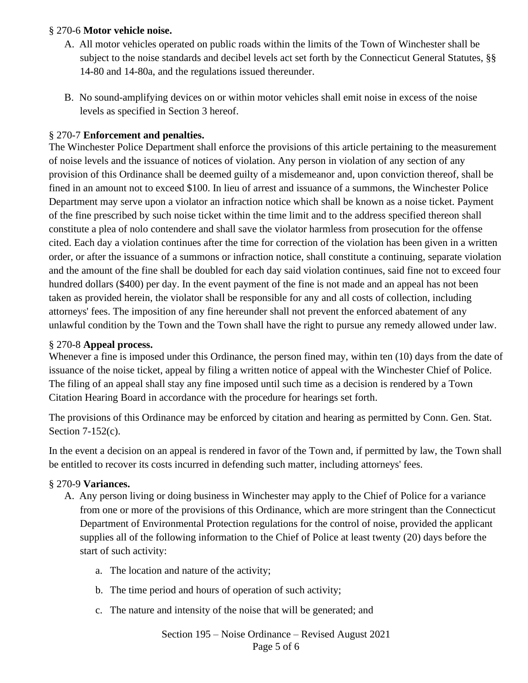## § 270-6 **Motor vehicle noise.**

- A. All motor vehicles operated on public roads within the limits of the Town of Winchester shall be subject to the noise standards and decibel levels act set forth by the Connecticut General Statutes, §§ 14-80 and 14-80a, and the regulations issued thereunder.
- B. No sound-amplifying devices on or within motor vehicles shall emit noise in excess of the noise levels as specified in Section 3 hereof.

# § 270-7 **Enforcement and penalties.**

The Winchester Police Department shall enforce the provisions of this article pertaining to the measurement of noise levels and the issuance of notices of violation. Any person in violation of any section of any provision of this Ordinance shall be deemed guilty of a misdemeanor and, upon conviction thereof, shall be fined in an amount not to exceed \$100. In lieu of arrest and issuance of a summons, the Winchester Police Department may serve upon a violator an infraction notice which shall be known as a noise ticket. Payment of the fine prescribed by such noise ticket within the time limit and to the address specified thereon shall constitute a plea of nolo contendere and shall save the violator harmless from prosecution for the offense cited. Each day a violation continues after the time for correction of the violation has been given in a written order, or after the issuance of a summons or infraction notice, shall constitute a continuing, separate violation and the amount of the fine shall be doubled for each day said violation continues, said fine not to exceed four hundred dollars (\$400) per day. In the event payment of the fine is not made and an appeal has not been taken as provided herein, the violator shall be responsible for any and all costs of collection, including attorneys' fees. The imposition of any fine hereunder shall not prevent the enforced abatement of any unlawful condition by the Town and the Town shall have the right to pursue any remedy allowed under law.

## § 270-8 **Appeal process.**

Whenever a fine is imposed under this Ordinance, the person fined may, within ten (10) days from the date of issuance of the noise ticket, appeal by filing a written notice of appeal with the Winchester Chief of Police. The filing of an appeal shall stay any fine imposed until such time as a decision is rendered by a Town Citation Hearing Board in accordance with the procedure for hearings set forth.

The provisions of this Ordinance may be enforced by citation and hearing as permitted by Conn. Gen. Stat. Section 7-152(c).

In the event a decision on an appeal is rendered in favor of the Town and, if permitted by law, the Town shall be entitled to recover its costs incurred in defending such matter, including attorneys' fees.

#### § 270-9 **Variances.**

- A. Any person living or doing business in Winchester may apply to the Chief of Police for a variance from one or more of the provisions of this Ordinance, which are more stringent than the Connecticut Department of Environmental Protection regulations for the control of noise, provided the applicant supplies all of the following information to the Chief of Police at least twenty (20) days before the start of such activity:
	- a. The location and nature of the activity;
	- b. The time period and hours of operation of such activity;
	- c. The nature and intensity of the noise that will be generated; and